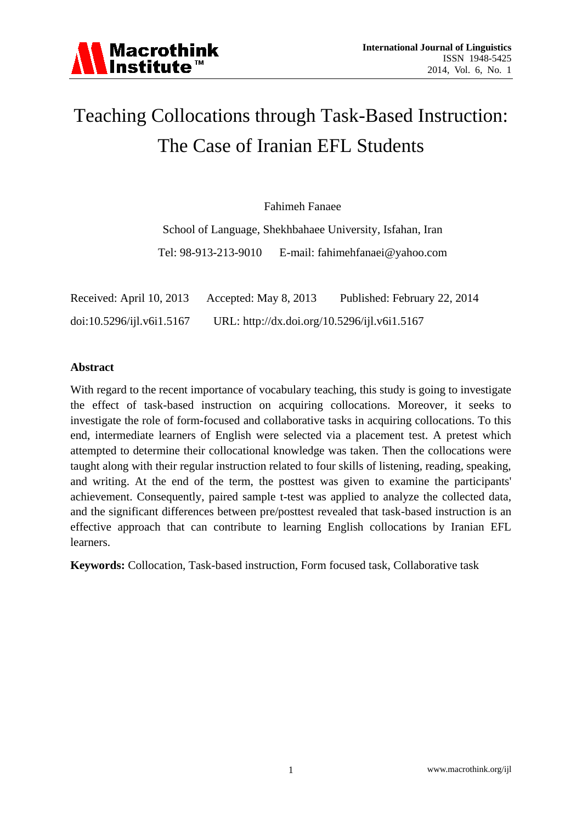

# Teaching Collocations through Task-Based Instruction: The Case of Iranian EFL Students

Fahimeh Fanaee

School of Language, Shekhbahaee University, Isfahan, Iran Tel: 98-913-213-9010 E-mail: fahimehfanaei@yahoo.com

| Received: April 10, 2013   | Accepted: May 8, 2013                        | Published: February 22, 2014 |
|----------------------------|----------------------------------------------|------------------------------|
| doi:10.5296/ijkl.v6i1.5167 | URL: http://dx.doi.org/10.5296/ijl.v6i1.5167 |                              |

#### **Abstract**

With regard to the recent importance of vocabulary teaching, this study is going to investigate the effect of task-based instruction on acquiring collocations. Moreover, it seeks to investigate the role of form-focused and collaborative tasks in acquiring collocations. To this end, intermediate learners of English were selected via a placement test. A pretest which attempted to determine their collocational knowledge was taken. Then the collocations were taught along with their regular instruction related to four skills of listening, reading, speaking, and writing. At the end of the term, the posttest was given to examine the participants' achievement. Consequently, paired sample t-test was applied to analyze the collected data, and the significant differences between pre/posttest revealed that task-based instruction is an effective approach that can contribute to learning English collocations by Iranian EFL learners.

**Keywords:** Collocation, Task-based instruction, Form focused task, Collaborative task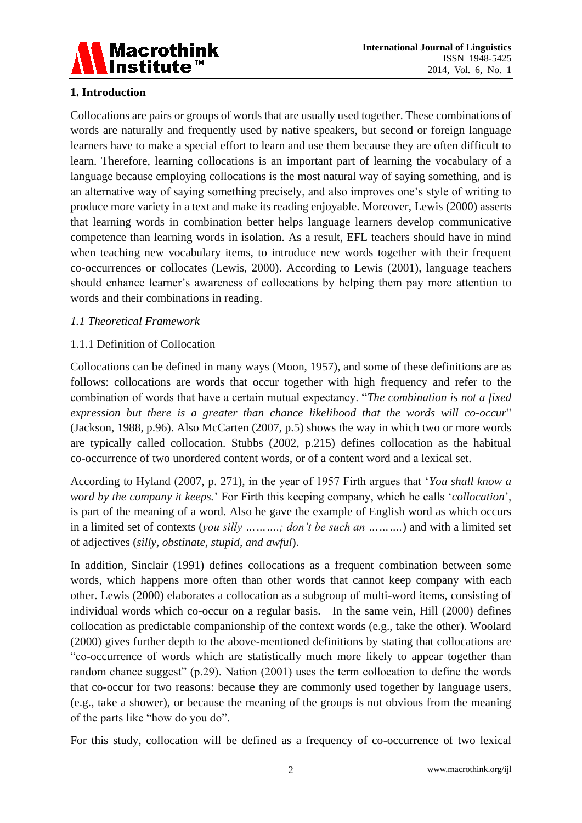

# **1. Introduction**

Collocations are pairs or groups of words that are usually used together. These combinations of words are naturally and frequently used by native speakers, but second or foreign language learners have to make a special effort to learn and use them because they are often difficult to learn. Therefore, learning collocations is an important part of learning the vocabulary of a language because employing collocations is the most natural way of saying something, and is an alternative way of saying something precisely, and also improves one"s style of writing to produce more variety in a text and make its reading enjoyable. Moreover, Lewis (2000) asserts that learning words in combination better helps language learners develop communicative competence than learning words in isolation. As a result, EFL teachers should have in mind when teaching new vocabulary items, to introduce new words together with their frequent co-occurrences or collocates (Lewis, 2000). According to Lewis (2001), language teachers should enhance learner's awareness of collocations by helping them pay more attention to words and their combinations in reading.

# *1.1 Theoretical Framework*

# 1.1.1 Definition of Collocation

Collocations can be defined in many ways (Moon, 1957), and some of these definitions are as follows: collocations are words that occur together with high frequency and refer to the combination of words that have a certain mutual expectancy. "*The combination is not a fixed expression but there is a greater than chance likelihood that the words will co-occur*" (Jackson, 1988, p.96). Also McCarten (2007, p.5) shows the way in which two or more words are typically called collocation. Stubbs (2002, p.215) defines collocation as the habitual co-occurrence of two unordered content words, or of a content word and a lexical set.

According to Hyland (2007, p. 271), in the year of 1957 Firth argues that "*You shall know a word by the company it keeps.*" For Firth this keeping company, which he calls "*collocation*", is part of the meaning of a word. Also he gave the example of English word as which occurs in a limited set of contexts (*you silly ……….; don't be such an ……….*) and with a limited set of adjectives (*silly, obstinate, stupid, and awful*).

In addition, Sinclair (1991) defines collocations as a frequent combination between some words, which happens more often than other words that cannot keep company with each other. Lewis (2000) elaborates a collocation as a subgroup of multi-word items, consisting of individual words which co-occur on a regular basis. In the same vein, Hill (2000) defines collocation as predictable companionship of the context words (e.g., take the other). Woolard (2000) gives further depth to the above-mentioned definitions by stating that collocations are "co-occurrence of words which are statistically much more likely to appear together than random chance suggest" (p.29). Nation (2001) uses the term collocation to define the words that co-occur for two reasons: because they are commonly used together by language users, (e.g., take a shower), or because the meaning of the groups is not obvious from the meaning of the parts like "how do you do".

For this study, collocation will be defined as a frequency of co-occurrence of two lexical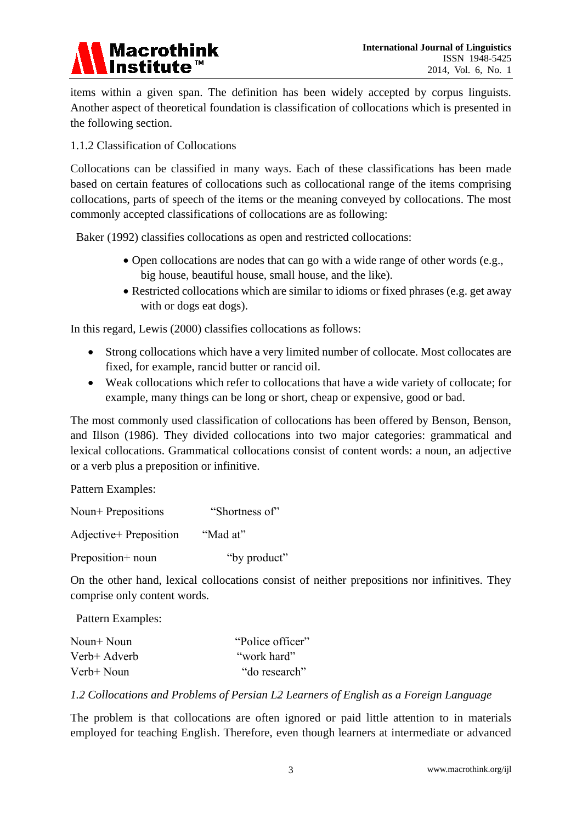

items within a given span. The definition has been widely accepted by corpus linguists. Another aspect of theoretical foundation is classification of collocations which is presented in the following section.

1.1.2 Classification of Collocations

Collocations can be classified in many ways. Each of these classifications has been made based on certain features of collocations such as collocational range of the items comprising collocations, parts of speech of the items or the meaning conveyed by collocations. The most commonly accepted classifications of collocations are as following:

Baker (1992) classifies collocations as open and restricted collocations:

- Open collocations are nodes that can go with a wide range of other words (e.g., big house, beautiful house, small house, and the like).
- Restricted collocations which are similar to idioms or fixed phrases (e.g. get away with or dogs eat dogs).

In this regard, Lewis (2000) classifies collocations as follows:

- Strong collocations which have a very limited number of collocate. Most collocates are fixed, for example, rancid butter or rancid oil.
- Weak collocations which refer to collocations that have a wide variety of collocate; for example, many things can be long or short, cheap or expensive, good or bad.

The most commonly used classification of collocations has been offered by Benson, Benson, and Illson (1986). They divided collocations into two major categories: grammatical and lexical collocations. Grammatical collocations consist of content words: a noun, an adjective or a verb plus a preposition or infinitive.

Pattern Examples:

| Noun+ Prepositions     | "Shortness of" |
|------------------------|----------------|
| Adjective+ Preposition | "Mad at"       |
| Preposition+ noun      | "by product"   |

On the other hand, lexical collocations consist of neither prepositions nor infinitives. They comprise only content words.

Pattern Examples:

| Noun+ Noun   | "Police officer" |
|--------------|------------------|
| Verb+ Adverb | "work hard"      |
| Verb+ Noun   | "do research"    |

# *1.2 Collocations and Problems of Persian L2 Learners of English as a Foreign Language*

The problem is that collocations are often ignored or paid little attention to in materials employed for teaching English. Therefore, even though learners at intermediate or advanced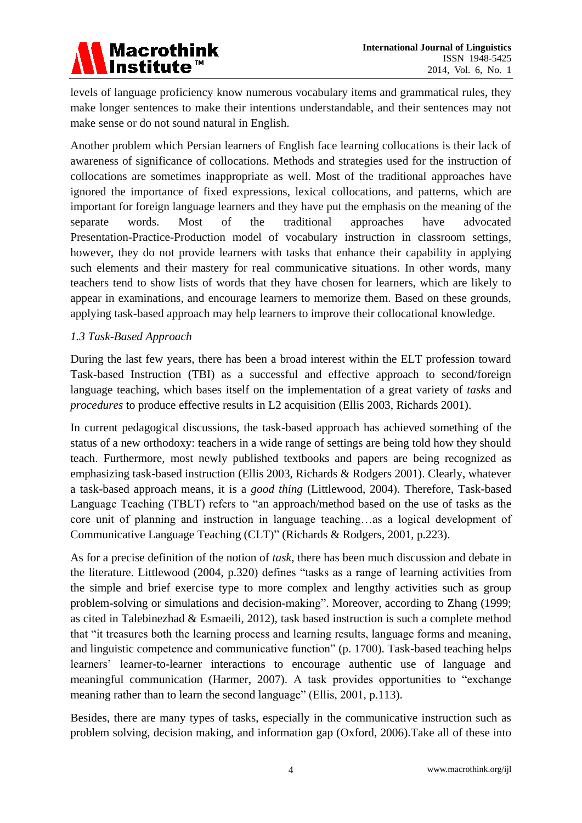

levels of language proficiency know numerous vocabulary items and grammatical rules, they make longer sentences to make their intentions understandable, and their sentences may not make sense or do not sound natural in English.

Another problem which Persian learners of English face learning collocations is their lack of awareness of significance of collocations. Methods and strategies used for the instruction of collocations are sometimes inappropriate as well. Most of the traditional approaches have ignored the importance of fixed expressions, lexical collocations, and patterns, which are important for foreign language learners and they have put the emphasis on the meaning of the separate words. Most of the traditional approaches have advocated Presentation-Practice-Production model of vocabulary instruction in classroom settings, however, they do not provide learners with tasks that enhance their capability in applying such elements and their mastery for real communicative situations. In other words, many teachers tend to show lists of words that they have chosen for learners, which are likely to appear in examinations, and encourage learners to memorize them. Based on these grounds, applying task-based approach may help learners to improve their collocational knowledge.

## *1.3 Task-Based Approach*

During the last few years, there has been a broad interest within the ELT profession toward Task-based Instruction (TBI) as a successful and effective approach to second/foreign language teaching, which bases itself on the implementation of a great variety of *tasks* and *procedures* to produce effective results in L2 acquisition (Ellis 2003, Richards 2001).

In current pedagogical discussions, the task-based approach has achieved something of the status of a new orthodoxy: teachers in a wide range of settings are being told how they should teach. Furthermore, most newly published textbooks and papers are being recognized as emphasizing task-based instruction (Ellis 2003, Richards & Rodgers 2001). Clearly, whatever a task-based approach means, it is a *good thing* (Littlewood, 2004). Therefore, Task-based Language Teaching (TBLT) refers to "an approach/method based on the use of tasks as the core unit of planning and instruction in language teaching…as a logical development of Communicative Language Teaching (CLT)" (Richards & Rodgers, 2001, p.223).

As for a precise definition of the notion of *task*, there has been much discussion and debate in the literature. Littlewood (2004, p.320) defines "tasks as a range of learning activities from the simple and brief exercise type to more complex and lengthy activities such as group problem-solving or simulations and decision-making". Moreover, according to Zhang (1999; as cited in Talebinezhad & Esmaeili, 2012), task based instruction is such a complete method that "it treasures both the learning process and learning results, language forms and meaning, and linguistic competence and communicative function" (p. 1700). Task-based teaching helps learners" learner-to-learner interactions to encourage authentic use of language and meaningful communication (Harmer, 2007). A task provides opportunities to "exchange meaning rather than to learn the second language" (Ellis, 2001, p.113).

Besides, there are many types of tasks, especially in the communicative instruction such as problem solving, decision making, and information gap (Oxford, 2006).Take all of these into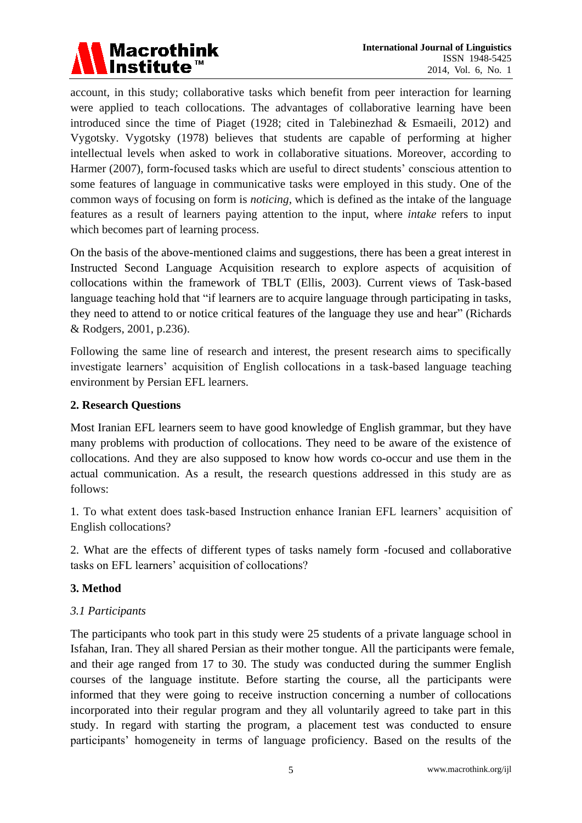

account, in this study; collaborative tasks which benefit from peer interaction for learning were applied to teach collocations. The advantages of collaborative learning have been introduced since the time of Piaget (1928; cited in Talebinezhad & Esmaeili, 2012) and Vygotsky. Vygotsky (1978) believes that students are capable of performing at higher intellectual levels when asked to work in collaborative situations. Moreover, according to Harmer (2007), form-focused tasks which are useful to direct students' conscious attention to some features of language in communicative tasks were employed in this study. One of the common ways of focusing on form is *noticing*, which is defined as the intake of the language features as a result of learners paying attention to the input, where *intake* refers to input which becomes part of learning process.

On the basis of the above-mentioned claims and suggestions, there has been a great interest in Instructed Second Language Acquisition research to explore aspects of acquisition of collocations within the framework of TBLT (Ellis, 2003). Current views of Task-based language teaching hold that "if learners are to acquire language through participating in tasks, they need to attend to or notice critical features of the language they use and hear" (Richards & Rodgers, 2001, p.236).

Following the same line of research and interest, the present research aims to specifically investigate learners" acquisition of English collocations in a task-based language teaching environment by Persian EFL learners.

## **2. Research Questions**

Most Iranian EFL learners seem to have good knowledge of English grammar, but they have many problems with production of collocations. They need to be aware of the existence of collocations. And they are also supposed to know how words co-occur and use them in the actual communication. As a result, the research questions addressed in this study are as follows:

1. To what extent does task-based Instruction enhance Iranian EFL learners" acquisition of English collocations?

2. What are the effects of different types of tasks namely form -focused and collaborative tasks on EFL learners' acquisition of collocations?

# **3. Method**

# *3.1 Participants*

The participants who took part in this study were 25 students of a private language school in Isfahan, Iran. They all shared Persian as their mother tongue. All the participants were female, and their age ranged from 17 to 30. The study was conducted during the summer English courses of the language institute. Before starting the course, all the participants were informed that they were going to receive instruction concerning a number of collocations incorporated into their regular program and they all voluntarily agreed to take part in this study. In regard with starting the program, a placement test was conducted to ensure participants' homogeneity in terms of language proficiency. Based on the results of the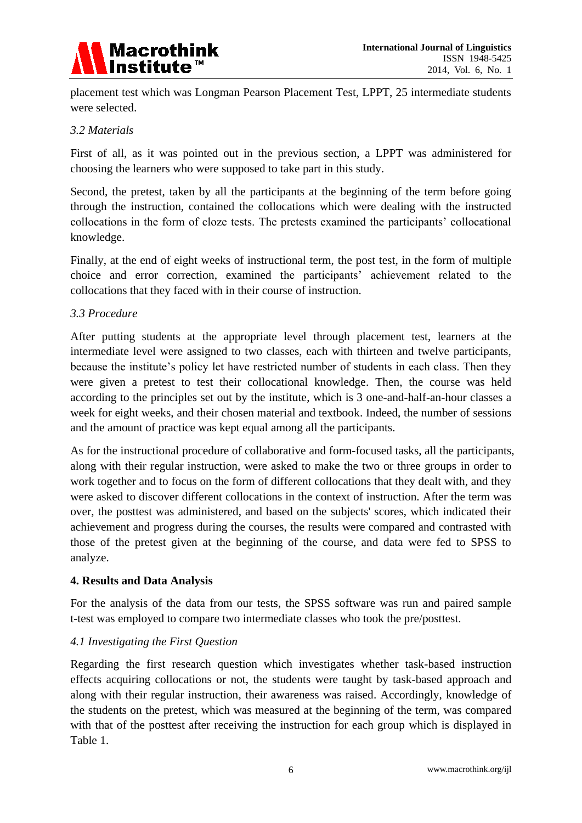

placement test which was Longman Pearson Placement Test, LPPT, 25 intermediate students were selected.

## *3.2 Materials*

First of all, as it was pointed out in the previous section, a LPPT was administered for choosing the learners who were supposed to take part in this study.

Second, the pretest, taken by all the participants at the beginning of the term before going through the instruction, contained the collocations which were dealing with the instructed collocations in the form of cloze tests. The pretests examined the participants" collocational knowledge.

Finally, at the end of eight weeks of instructional term, the post test, in the form of multiple choice and error correction, examined the participants" achievement related to the collocations that they faced with in their course of instruction.

#### *3.3 Procedure*

After putting students at the appropriate level through placement test, learners at the intermediate level were assigned to two classes, each with thirteen and twelve participants, because the institute's policy let have restricted number of students in each class. Then they were given a pretest to test their collocational knowledge. Then, the course was held according to the principles set out by the institute, which is 3 one-and-half-an-hour classes a week for eight weeks, and their chosen material and textbook. Indeed, the number of sessions and the amount of practice was kept equal among all the participants.

As for the instructional procedure of collaborative and form-focused tasks, all the participants, along with their regular instruction, were asked to make the two or three groups in order to work together and to focus on the form of different collocations that they dealt with, and they were asked to discover different collocations in the context of instruction. After the term was over, the posttest was administered, and based on the subjects' scores, which indicated their achievement and progress during the courses, the results were compared and contrasted with those of the pretest given at the beginning of the course, and data were fed to SPSS to analyze.

#### **4. Results and Data Analysis**

For the analysis of the data from our tests, the SPSS software was run and paired sample t-test was employed to compare two intermediate classes who took the pre/posttest.

# *4.1 Investigating the First Question*

Regarding the first research question which investigates whether task-based instruction effects acquiring collocations or not, the students were taught by task-based approach and along with their regular instruction, their awareness was raised. Accordingly, knowledge of the students on the pretest, which was measured at the beginning of the term, was compared with that of the posttest after receiving the instruction for each group which is displayed in Table 1.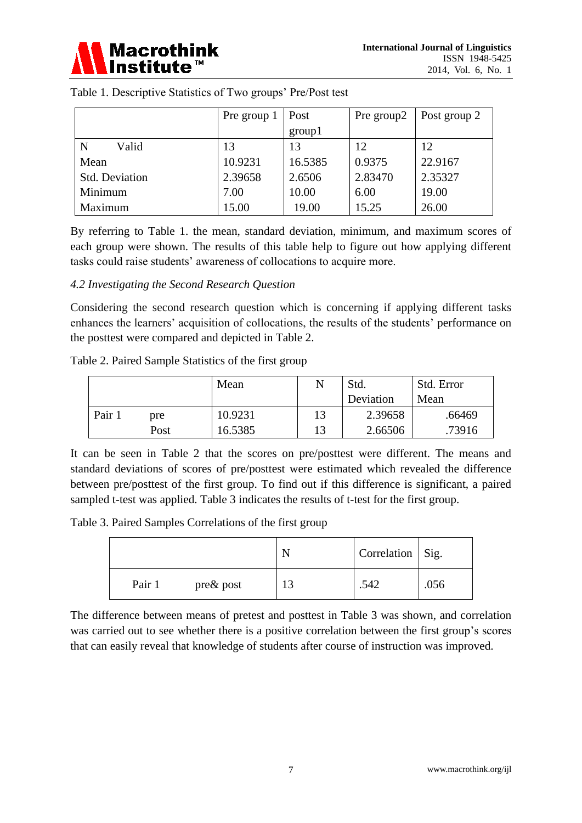

|                       | Pre group 1 | Post    | Pre group2 | Post group 2 |
|-----------------------|-------------|---------|------------|--------------|
|                       |             | group1  |            |              |
| Valid<br>N            | 13          | 13      | 12         | 12           |
| Mean                  | 10.9231     | 16.5385 | 0.9375     | 22.9167      |
| <b>Std. Deviation</b> | 2.39658     | 2.6506  | 2.83470    | 2.35327      |
| Minimum               | 7.00        | 10.00   | 6.00       | 19.00        |
| Maximum               | 15.00       | 19.00   | 15.25      | 26.00        |

Table 1. Descriptive Statistics of Two groups" Pre/Post test

By referring to Table 1. the mean, standard deviation, minimum, and maximum scores of each group were shown. The results of this table help to figure out how applying different tasks could raise students" awareness of collocations to acquire more.

# *4.2 Investigating the Second Research Question*

Considering the second research question which is concerning if applying different tasks enhances the learners' acquisition of collocations, the results of the students' performance on the posttest were compared and depicted in Table 2.

Table 2. Paired Sample Statistics of the first group

|        |      | Mean    | N  | Std.      | Std. Error |
|--------|------|---------|----|-----------|------------|
|        |      |         |    | Deviation | Mean       |
| Pair 1 | pre  | 10.9231 | 13 | 2.39658   | .66469     |
|        | Post | 16.5385 | 13 | 2.66506   | .73916     |

It can be seen in Table 2 that the scores on pre/posttest were different. The means and standard deviations of scores of pre/posttest were estimated which revealed the difference between pre/posttest of the first group. To find out if this difference is significant, a paired sampled t-test was applied. Table 3 indicates the results of t-test for the first group.

Table 3. Paired Samples Correlations of the first group

|        |           |    | Correlation Sig. |      |
|--------|-----------|----|------------------|------|
| Pair 1 | pre& post | 13 | .542             | .056 |

The difference between means of pretest and posttest in Table 3 was shown, and correlation was carried out to see whether there is a positive correlation between the first group's scores that can easily reveal that knowledge of students after course of instruction was improved.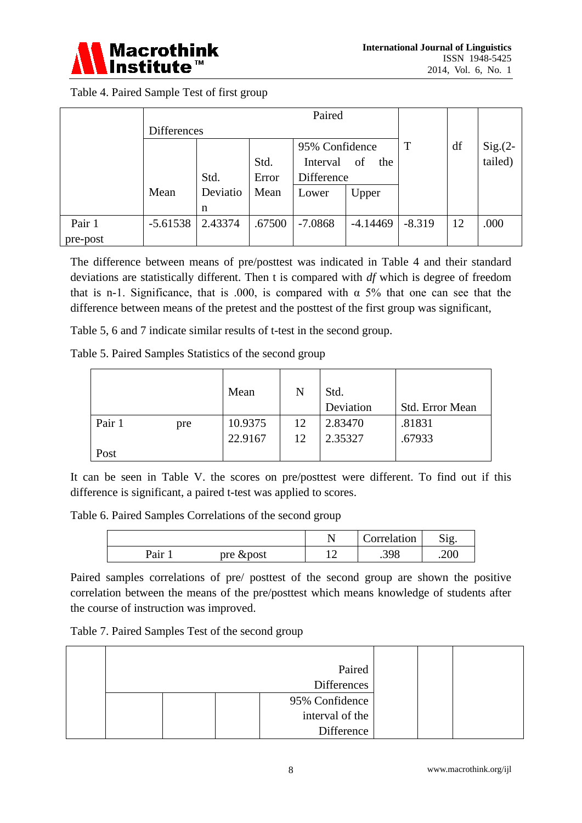

|  | Table 4. Paired Sample Test of first group |  |  |  |  |  |
|--|--------------------------------------------|--|--|--|--|--|
|--|--------------------------------------------|--|--|--|--|--|

|          | Paired      |          |        |                |            |          |    |          |
|----------|-------------|----------|--------|----------------|------------|----------|----|----------|
|          | Differences |          |        |                |            |          |    |          |
|          |             |          |        | 95% Confidence |            | T        | df | $Sig(2-$ |
|          |             |          | Std.   | Interval       | of<br>the  |          |    | tailed)  |
|          |             | Std.     | Error  | Difference     |            |          |    |          |
|          | Mean        | Deviatio | Mean   | Lower          | Upper      |          |    |          |
|          |             | n        |        |                |            |          |    |          |
| Pair 1   | $-5.61538$  | 2.43374  | .67500 | $-7.0868$      | $-4.14469$ | $-8.319$ | 12 | .000     |
| pre-post |             |          |        |                |            |          |    |          |

The difference between means of pre/posttest was indicated in Table 4 and their standard deviations are statistically different. Then t is compared with *df* which is degree of freedom that is n-1. Significance, that is .000, is compared with  $\alpha$  5% that one can see that the difference between means of the pretest and the posttest of the first group was significant,

Table 5, 6 and 7 indicate similar results of t-test in the second group.

| Table 5. Paired Samples Statistics of the second group |  |
|--------------------------------------------------------|--|
|--------------------------------------------------------|--|

|        |     | Mean    | N  | Std.      |                 |
|--------|-----|---------|----|-----------|-----------------|
|        |     |         |    | Deviation | Std. Error Mean |
| Pair 1 | pre | 10.9375 | 12 | 2.83470   | .81831          |
|        |     | 22.9167 | 12 | 2.35327   | .67933          |
| Post   |     |         |    |           |                 |

It can be seen in Table V. the scores on pre/posttest were different. To find out if this difference is significant, a paired t-test was applied to scores.

Table 6. Paired Samples Correlations of the second group

|      |           |        | Correlation | . 1 σ |
|------|-----------|--------|-------------|-------|
| Pair | pre &post | $\sim$ | .398        | 200   |

Paired samples correlations of pre/ posttest of the second group are shown the positive correlation between the means of the pre/posttest which means knowledge of students after the course of instruction was improved.

|  |  | Table 7. Paired Samples Test of the second group |  |
|--|--|--------------------------------------------------|--|
|  |  |                                                  |  |

|  |  | 95% Confidence  |  |  |
|--|--|-----------------|--|--|
|  |  | interval of the |  |  |
|  |  | Difference      |  |  |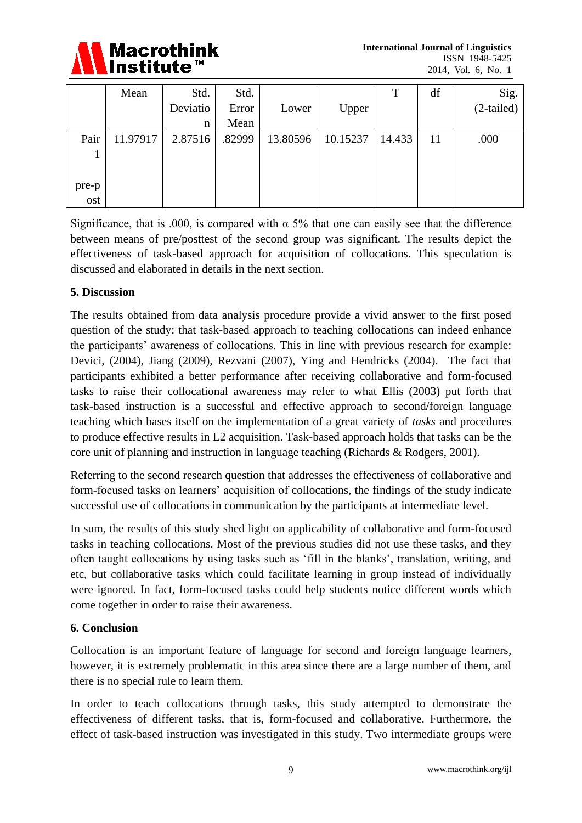

|       | Mean     | Std.     | Std.   |          |          | T      | df | Sig.         |
|-------|----------|----------|--------|----------|----------|--------|----|--------------|
|       |          | Deviatio | Error  | Lower    | Upper    |        |    | $(2-tailed)$ |
|       |          | n        | Mean   |          |          |        |    |              |
| Pair  | 11.97917 | 2.87516  | .82999 | 13.80596 | 10.15237 | 14.433 | 11 | .000         |
|       |          |          |        |          |          |        |    |              |
|       |          |          |        |          |          |        |    |              |
| pre-p |          |          |        |          |          |        |    |              |
| ost   |          |          |        |          |          |        |    |              |

Significance, that is .000, is compared with  $\alpha$  5% that one can easily see that the difference between means of pre/posttest of the second group was significant. The results depict the effectiveness of task-based approach for acquisition of collocations. This speculation is discussed and elaborated in details in the next section.

# **5. Discussion**

The results obtained from data analysis procedure provide a vivid answer to the first posed question of the study: that task-based approach to teaching collocations can indeed enhance the participants" awareness of collocations. This in line with previous research for example: Devici, (2004), Jiang (2009), Rezvani (2007), Ying and Hendricks (2004). The fact that participants exhibited a better performance after receiving collaborative and form-focused tasks to raise their collocational awareness may refer to what Ellis (2003) put forth that task-based instruction is a successful and effective approach to second/foreign language teaching which bases itself on the implementation of a great variety of *tasks* and procedures to produce effective results in L2 acquisition. Task-based approach holds that tasks can be the core unit of planning and instruction in language teaching (Richards & Rodgers, 2001).

Referring to the second research question that addresses the effectiveness of collaborative and form-focused tasks on learners" acquisition of collocations, the findings of the study indicate successful use of collocations in communication by the participants at intermediate level.

In sum, the results of this study shed light on applicability of collaborative and form-focused tasks in teaching collocations. Most of the previous studies did not use these tasks, and they often taught collocations by using tasks such as "fill in the blanks", translation, writing, and etc, but collaborative tasks which could facilitate learning in group instead of individually were ignored. In fact, form-focused tasks could help students notice different words which come together in order to raise their awareness.

# **6. Conclusion**

Collocation is an important feature of language for second and foreign language learners, however, it is extremely problematic in this area since there are a large number of them, and there is no special rule to learn them.

In order to teach collocations through tasks, this study attempted to demonstrate the effectiveness of different tasks, that is, form-focused and collaborative. Furthermore, the effect of task-based instruction was investigated in this study. Two intermediate groups were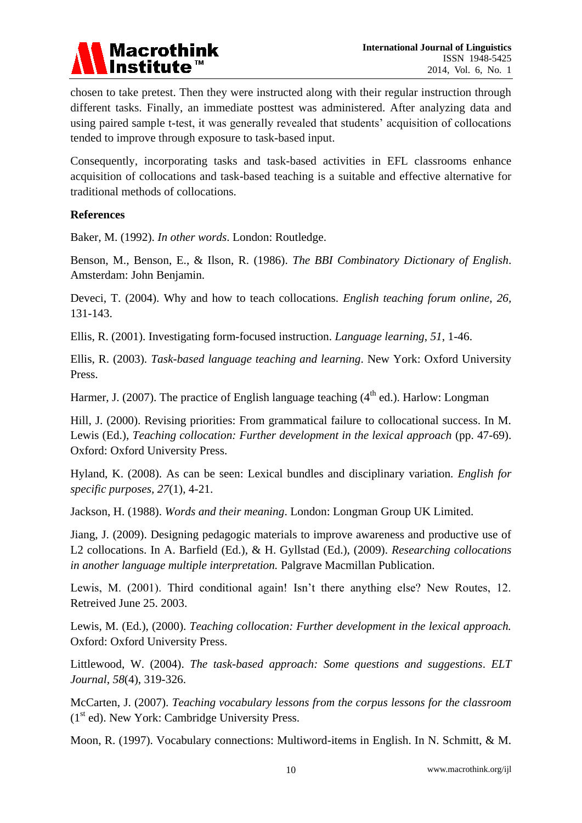

chosen to take pretest. Then they were instructed along with their regular instruction through different tasks. Finally, an immediate posttest was administered. After analyzing data and using paired sample t-test, it was generally revealed that students' acquisition of collocations tended to improve through exposure to task-based input.

Consequently, incorporating tasks and task-based activities in EFL classrooms enhance acquisition of collocations and task-based teaching is a suitable and effective alternative for traditional methods of collocations.

# **References**

Baker, M. (1992). *In other words*. London: Routledge.

Benson, M., Benson, E., & Ilson, R. (1986). *The BBI Combinatory Dictionary of English*. Amsterdam: John Benjamin.

Deveci, T. (2004). Why and how to teach collocations. *English teaching forum online*, *26,* 131-143.

Ellis, R. (2001). Investigating form-focused instruction. *Language learning*, *51*, 1-46.

Ellis, R. (2003). *Task-based language teaching and learning*. New York: Oxford University Press.

Harmer, J. (2007). The practice of English language teaching  $(4<sup>th</sup>$  ed.). Harlow: Longman

Hill, J. (2000). Revising priorities: From grammatical failure to collocational success. In M. Lewis (Ed.), *Teaching collocation: Further development in the lexical approach* (pp. 47-69). Oxford: Oxford University Press.

Hyland, K. (2008). As can be seen: Lexical bundles and disciplinary variation. *English for specific purposes, 27*(1), 4-21.

Jackson, H. (1988). *Words and their meaning*. London: Longman Group UK Limited.

Jiang, J. (2009). Designing pedagogic materials to improve awareness and productive use of L2 collocations. In A. Barfield (Ed.), & H. Gyllstad (Ed.), (2009). *Researching collocations in another language multiple interpretation.* Palgrave Macmillan Publication.

Lewis, M. (2001). Third conditional again! Isn't there anything else? New Routes, 12. Retreived June 25. 2003.

Lewis, M. (Ed.), (2000). *Teaching collocation: Further development in the lexical approach.*  Oxford: Oxford University Press.

Littlewood, W. (2004). *The task-based approach: Some questions and suggestions*. *ELT Journal*, *58*(4), 319-326.

McCarten, J. (2007). *Teaching vocabulary lessons from the corpus lessons for the classroom*  $(1<sup>st</sup>$  ed). New York: Cambridge University Press.

Moon, R. (1997). Vocabulary connections: Multiword-items in English. In N. Schmitt, & M.